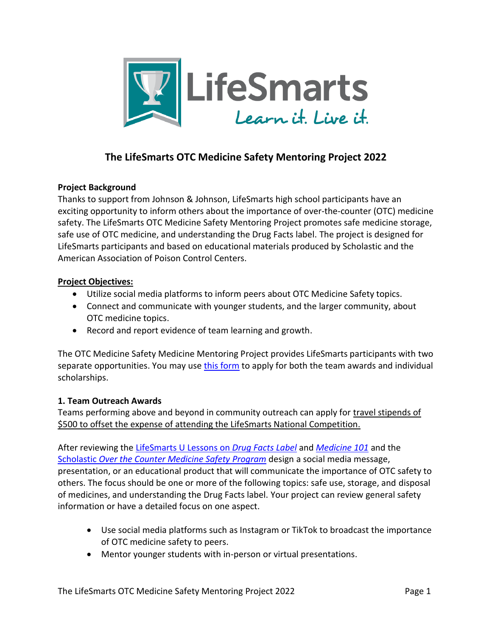

## **The LifeSmarts OTC Medicine Safety Mentoring Project 2022**

### **Project Background**

Thanks to support from Johnson & Johnson, LifeSmarts high school participants have an exciting opportunity to inform others about the importance of over-the-counter (OTC) medicine safety. The LifeSmarts OTC Medicine Safety Mentoring Project promotes safe medicine storage, safe use of OTC medicine, and understanding the Drug Facts label. The project is designed for LifeSmarts participants and based on educational materials produced by Scholastic and the American Association of Poison Control Centers.

### **Project Objectives:**

- Utilize social media platforms to inform peers about OTC Medicine Safety topics.
- Connect and communicate with younger students, and the larger community, about OTC medicine topics.
- Record and report evidence of team learning and growth.

The OTC Medicine Safety Medicine Mentoring Project provides LifeSmarts participants with two separate opportunities. You may use this [form](https://lifesmarts.org/otc/submit-an-otc-medicine-safety-scholarship-application/) to apply for both the team awards and individual scholarships.

### **1. Team Outreach Awards**

Teams performing above and beyond in community outreach can apply for travel stipends of \$500 to offset the expense of attending the LifeSmarts National Competition.

After reviewing the [LifeSmarts U Lessons](https://lifesmartsu.lifesmarts.org/drug-facts-label/) on *Drug Facts Label* and *[Medicine 101](https://lifesmartsu.lifesmarts.org/medicine-101/)* and the Scholastic *[Over the Counter Medicine Safety Program](https://www.scholastic.com/otc-med-safety/index.html)* design a social media message, presentation, or an educational product that will communicate the importance of OTC safety to others. The focus should be one or more of the following topics: safe use, storage, and disposal of medicines, and understanding the Drug Facts label. Your project can review general safety information or have a detailed focus on one aspect.

- Use social media platforms such as Instagram or TikTok to broadcast the importance of OTC medicine safety to peers.
- Mentor younger students with in-person or virtual presentations.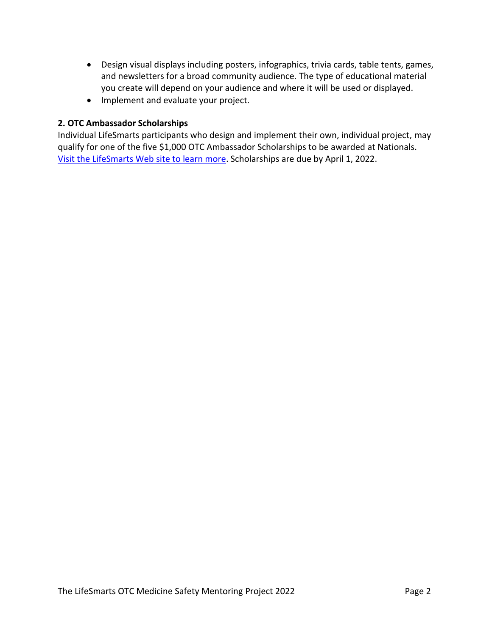- Design visual displays including posters, infographics, trivia cards, table tents, games, and newsletters for a broad community audience. The type of educational material you create will depend on your audience and where it will be used or displayed.
- Implement and evaluate your project.

### **2. OTC Ambassador Scholarships**

Individual LifeSmarts participants who design and implement their own, individual project, may qualify for one of the five \$1,000 OTC Ambassador Scholarships to be awarded at Nationals. Visit [the LifeSmarts Web site to learn more.](https://lifesmarts.org/otc/submit-an-otc-medicine-safety-scholarship-application/) Scholarships are due by April 1, 2022.